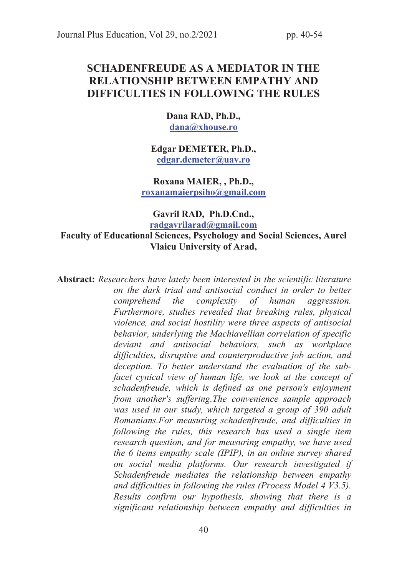# SCHADENFREUDE AS A MEDIATOR IN THE RELATIONSHIP BETWEEN EMPATHY AND DIFFICULTIES IN FOLLOWING THE RULES

Dana RAD, Ph.D., dana@xhouse.ro

Edgar DEMETER, Ph.D., edgar.demeter@uav.ro

Roxana MAIER, , Ph.D., roxanamaierpsiho@gmail.com

Gavril RAD, Ph.D.Cnd.,

## radgavrilarad@gmail.com Faculty of Educational Sciences, Psychology and Social Sciences, Aurel Vlaicu University of Arad,

Abstract: Researchers have lately been interested in the scientific literature on the dark triad and antisocial conduct in order to better comprehend the complexity of human aggression. Furthermore, studies revealed that breaking rules, physical violence, and social hostility were three aspects of antisocial behavior, underlying the Machiavellian correlation of specific deviant and antisocial behaviors, such as workplace difficulties, disruptive and counterproductive job action, and deception. To better understand the evaluation of the subfacet cynical view of human life, we look at the concept of schadenfreude, which is defined as one person's enjoyment from another's suffering.The convenience sample approach was used in our study, which targeted a group of 390 adult Romanians.For measuring schadenfreude, and difficulties in following the rules, this research has used a single item research question, and for measuring empathy, we have used the 6 items empathy scale (IPIP), in an online survey shared on social media platforms. Our research investigated if Schadenfreude mediates the relationship between empathy and difficulties in following the rules (Process Model 4 V3.5). Results confirm our hypothesis, showing that there is a significant relationship between empathy and difficulties in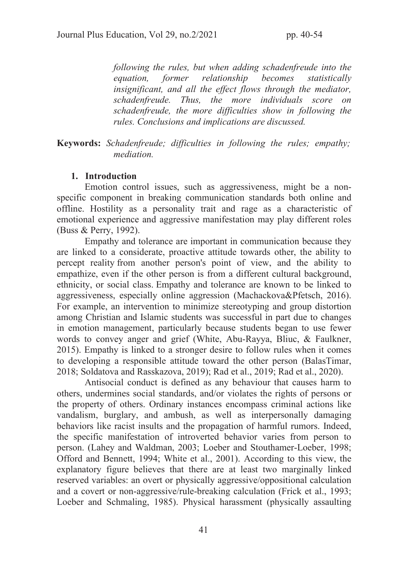following the rules, but when adding schadenfreude into the equation, former relationship becomes statistically insignificant, and all the effect flows through the mediator, schadenfreude. Thus, the more individuals score on schadenfreude, the more difficulties show in following the rules. Conclusions and implications are discussed.

Keywords: Schadenfreude; difficulties in following the rules; empathy; mediation.

#### 1. Introduction

Emotion control issues, such as aggressiveness, might be a nonspecific component in breaking communication standards both online and offline. Hostility as a personality trait and rage as a characteristic of emotional experience and aggressive manifestation may play different roles (Buss & Perry, 1992).

Empathy and tolerance are important in communication because they are linked to a considerate, proactive attitude towards other, the ability to percept reality from another person's point of view, and the ability to empathize, even if the other person is from a different cultural background, ethnicity, or social class. Empathy and tolerance are known to be linked to aggressiveness, especially online aggression (Machackova&Pfetsch, 2016). For example, an intervention to minimize stereotyping and group distortion among Christian and Islamic students was successful in part due to changes in emotion management, particularly because students began to use fewer words to convey anger and grief (White, Abu-Rayya, Bliuc, & Faulkner, 2015). Empathy is linked to a stronger desire to follow rules when it comes to developing a responsible attitude toward the other person (BalasTimar, 2018; Soldatova and Rasskazova, 2019); Rad et al., 2019; Rad et al., 2020).

Antisocial conduct is defined as any behaviour that causes harm to others, undermines social standards, and/or violates the rights of persons or the property of others. Ordinary instances encompass criminal actions like vandalism, burglary, and ambush, as well as interpersonally damaging behaviors like racist insults and the propagation of harmful rumors. Indeed, the specific manifestation of introverted behavior varies from person to person. (Lahey and Waldman, 2003; Loeber and Stouthamer-Loeber, 1998; Offord and Bennett, 1994; White et al., 2001). According to this view, the explanatory figure believes that there are at least two marginally linked reserved variables: an overt or physically aggressive/oppositional calculation and a covert or non-aggressive/rule-breaking calculation (Frick et al., 1993; Loeber and Schmaling, 1985). Physical harassment (physically assaulting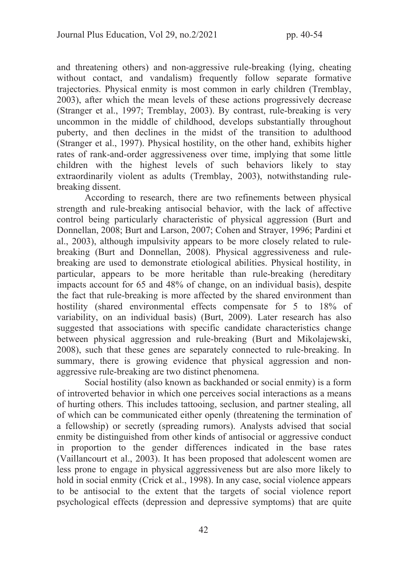and threatening others) and non-aggressive rule-breaking (lying, cheating without contact, and vandalism) frequently follow separate formative trajectories. Physical enmity is most common in early children (Tremblay, 2003), after which the mean levels of these actions progressively decrease (Stranger et al., 1997; Tremblay, 2003). By contrast, rule-breaking is very uncommon in the middle of childhood, develops substantially throughout puberty, and then declines in the midst of the transition to adulthood (Stranger et al., 1997). Physical hostility, on the other hand, exhibits higher rates of rank-and-order aggressiveness over time, implying that some little children with the highest levels of such behaviors likely to stay extraordinarily violent as adults (Tremblay, 2003), notwithstanding rulebreaking dissent.

According to research, there are two refinements between physical strength and rule-breaking antisocial behavior, with the lack of affective control being particularly characteristic of physical aggression (Burt and Donnellan, 2008; Burt and Larson, 2007; Cohen and Strayer, 1996; Pardini et al., 2003), although impulsivity appears to be more closely related to rulebreaking (Burt and Donnellan, 2008). Physical aggressiveness and rulebreaking are used to demonstrate etiological abilities. Physical hostility, in particular, appears to be more heritable than rule-breaking (hereditary impacts account for 65 and 48% of change, on an individual basis), despite the fact that rule-breaking is more affected by the shared environment than hostility (shared environmental effects compensate for 5 to 18% of variability, on an individual basis) (Burt, 2009). Later research has also suggested that associations with specific candidate characteristics change between physical aggression and rule-breaking (Burt and Mikolajewski, 2008), such that these genes are separately connected to rule-breaking. In summary, there is growing evidence that physical aggression and nonaggressive rule-breaking are two distinct phenomena.

Social hostility (also known as backhanded or social enmity) is a form of introverted behavior in which one perceives social interactions as a means of hurting others. This includes tattooing, seclusion, and partner stealing, all of which can be communicated either openly (threatening the termination of a fellowship) or secretly (spreading rumors). Analysts advised that social enmity be distinguished from other kinds of antisocial or aggressive conduct in proportion to the gender differences indicated in the base rates (Vaillancourt et al., 2003). It has been proposed that adolescent women are less prone to engage in physical aggressiveness but are also more likely to hold in social enmity (Crick et al., 1998). In any case, social violence appears to be antisocial to the extent that the targets of social violence report psychological effects (depression and depressive symptoms) that are quite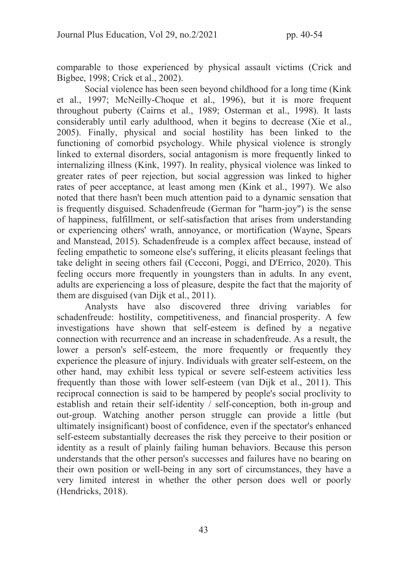comparable to those experienced by physical assault victims (Crick and Bigbee, 1998; Crick et al., 2002).

Social violence has been seen beyond childhood for a long time (Kink et al., 1997; McNeilly-Choque et al., 1996), but it is more frequent throughout puberty (Cairns et al., 1989; Osterman et al., 1998). It lasts considerably until early adulthood, when it begins to decrease (Xie et al., 2005). Finally, physical and social hostility has been linked to the functioning of comorbid psychology. While physical violence is strongly linked to external disorders, social antagonism is more frequently linked to internalizing illness (Kink, 1997). In reality, physical violence was linked to greater rates of peer rejection, but social aggression was linked to higher rates of peer acceptance, at least among men (Kink et al., 1997). We also noted that there hasn't been much attention paid to a dynamic sensation that is frequently disguised. Schadenfreude (German for "harm-joy") is the sense of happiness, fulfillment, or self-satisfaction that arises from understanding or experiencing others' wrath, annoyance, or mortification (Wayne, Spears and Manstead, 2015). Schadenfreude is a complex affect because, instead of feeling empathetic to someone else's suffering, it elicits pleasant feelings that take delight in seeing others fail (Cecconi, Poggi, and D'Errico, 2020). This feeling occurs more frequently in youngsters than in adults. In any event, adults are experiencing a loss of pleasure, despite the fact that the majority of them are disguised (van Dijk et al., 2011).

Analysts have also discovered three driving variables for schadenfreude: hostility, competitiveness, and financial prosperity. A few investigations have shown that self-esteem is defined by a negative connection with recurrence and an increase in schadenfreude. As a result, the lower a person's self-esteem, the more frequently or frequently they experience the pleasure of injury. Individuals with greater self-esteem, on the other hand, may exhibit less typical or severe self-esteem activities less frequently than those with lower self-esteem (van Dijk et al., 2011). This reciprocal connection is said to be hampered by people's social proclivity to establish and retain their self-identity / self-conception, both in-group and out-group. Watching another person struggle can provide a little (but ultimately insignificant) boost of confidence, even if the spectator's enhanced self-esteem substantially decreases the risk they perceive to their position or identity as a result of plainly failing human behaviors. Because this person understands that the other person's successes and failures have no bearing on their own position or well-being in any sort of circumstances, they have a very limited interest in whether the other person does well or poorly (Hendricks, 2018).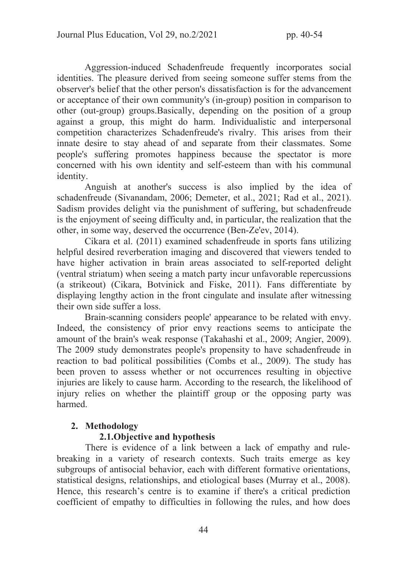Aggression-induced Schadenfreude frequently incorporates social identities. The pleasure derived from seeing someone suffer stems from the observer's belief that the other person's dissatisfaction is for the advancement or acceptance of their own community's (in-group) position in comparison to other (out-group) groups.Basically, depending on the position of a group against a group, this might do harm. Individualistic and interpersonal competition characterizes Schadenfreude's rivalry. This arises from their innate desire to stay ahead of and separate from their classmates. Some people's suffering promotes happiness because the spectator is more concerned with his own identity and self-esteem than with his communal identity.

Anguish at another's success is also implied by the idea of schadenfreude (Sivanandam, 2006; Demeter, et al., 2021; Rad et al., 2021). Sadism provides delight via the punishment of suffering, but schadenfreude is the enjoyment of seeing difficulty and, in particular, the realization that the other, in some way, deserved the occurrence (Ben-Ze'ev, 2014).

Cikara et al. (2011) examined schadenfreude in sports fans utilizing helpful desired reverberation imaging and discovered that viewers tended to have higher activation in brain areas associated to self-reported delight (ventral striatum) when seeing a match party incur unfavorable repercussions (a strikeout) (Cikara, Botvinick and Fiske, 2011). Fans differentiate by displaying lengthy action in the front cingulate and insulate after witnessing their own side suffer a loss.

Brain-scanning considers people' appearance to be related with envy. Indeed, the consistency of prior envy reactions seems to anticipate the amount of the brain's weak response (Takahashi et al., 2009; Angier, 2009). The 2009 study demonstrates people's propensity to have schadenfreude in reaction to bad political possibilities (Combs et al., 2009). The study has been proven to assess whether or not occurrences resulting in objective injuries are likely to cause harm. According to the research, the likelihood of injury relies on whether the plaintiff group or the opposing party was harmed.

#### 2. Methodology

## 2.1.Objective and hypothesis

There is evidence of a link between a lack of empathy and rulebreaking in a variety of research contexts. Such traits emerge as key subgroups of antisocial behavior, each with different formative orientations, statistical designs, relationships, and etiological bases (Murray et al., 2008). Hence, this research's centre is to examine if there's a critical prediction coefficient of empathy to difficulties in following the rules, and how does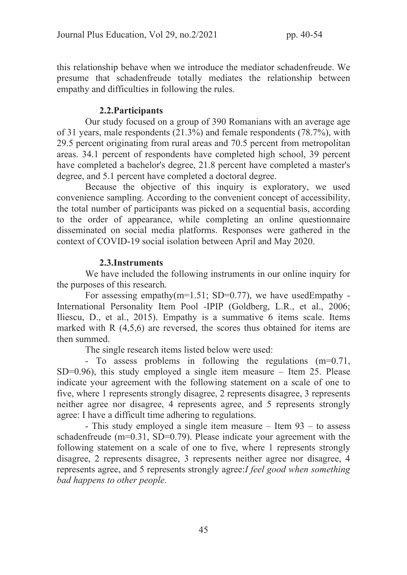this relationship behave when we introduce the mediator schadenfreude. We presume that schadenfreude totally mediates the relationship between empathy and difficulties in following the rules.

## 2.2.Participants

Our study focused on a group of 390 Romanians with an average age of 31 years, male respondents (21.3%) and female respondents (78.7%), with 29.5 percent originating from rural areas and 70.5 percent from metropolitan areas. 34.1 percent of respondents have completed high school, 39 percent have completed a bachelor's degree, 21.8 percent have completed a master's degree, and 5.1 percent have completed a doctoral degree.

Because the objective of this inquiry is exploratory, we used convenience sampling. According to the convenient concept of accessibility, the total number of participants was picked on a sequential basis, according to the order of appearance, while completing an online questionnaire disseminated on social media platforms. Responses were gathered in the context of COVID-19 social isolation between April and May 2020.

## 2.3.Instruments

We have included the following instruments in our online inquiry for the purposes of this research.

For assessing empathy( $m=1.51$ ; SD=0.77), we have usedEmpathy -International Personality Item Pool -IPIP (Goldberg, L.R., et al., 2006; Iliescu, D., et al., 2015). Empathy is a summative 6 items scale. Items marked with R (4,5,6) are reversed, the scores thus obtained for items are then summed.

The single research items listed below were used:

- To assess problems in following the regulations (m=0.71,  $SD=0.96$ ), this study employed a single item measure – Item 25. Please indicate your agreement with the following statement on a scale of one to five, where 1 represents strongly disagree, 2 represents disagree, 3 represents neither agree nor disagree, 4 represents agree, and 5 represents strongly agree: I have a difficult time adhering to regulations.

- This study employed a single item measure – Item 93 – to assess schadenfreude (m=0.31, SD=0.79). Please indicate your agreement with the following statement on a scale of one to five, where 1 represents strongly disagree, 2 represents disagree, 3 represents neither agree nor disagree, 4 represents agree, and 5 represents strongly agree:I feel good when something bad happens to other people.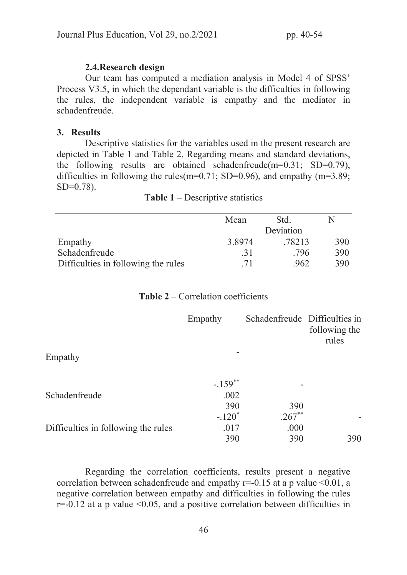## 2.4.Research design

Our team has computed a mediation analysis in Model 4 of SPSS' Process V3.5, in which the dependant variable is the difficulties in following the rules, the independent variable is empathy and the mediator in schadenfreude.

#### 3. Results

Descriptive statistics for the variables used in the present research are depicted in Table 1 and Table 2. Regarding means and standard deviations, the following results are obtained schadenfreude(m=0.31; SD=0.79), difficulties in following the rules(m=0.71; SD=0.96), and empathy (m=3.89;  $SD=0.78$ ).

|                                     | Mean   | Std.      | N   |
|-------------------------------------|--------|-----------|-----|
|                                     |        | Deviation |     |
| Empathy                             | 3.8974 | .78213    | 390 |
| Schadenfreude                       | .31    | .796      | 390 |
| Difficulties in following the rules | 71     | .962      | 390 |

#### Table 1 – Descriptive statistics

|                                     | Empathy               | Schadenfreude Difficulties in |                        |
|-------------------------------------|-----------------------|-------------------------------|------------------------|
|                                     |                       |                               | following the<br>rules |
|                                     |                       |                               |                        |
| Empathy                             |                       |                               |                        |
|                                     |                       |                               |                        |
|                                     | $-.159$ <sup>**</sup> |                               |                        |
| Schadenfreude                       | .002                  |                               |                        |
|                                     | 390                   | 390                           |                        |
|                                     | $-.120*$              | $.267**$                      |                        |
| Difficulties in following the rules | .017                  | .000                          |                        |
|                                     | 390                   | 390                           | 390                    |

#### Table 2 – Correlation coefficients

Regarding the correlation coefficients, results present a negative correlation between schadenfreude and empathy  $r=0.15$  at a p value  $\leq 0.01$ , a negative correlation between empathy and difficulties in following the rules  $r=-0.12$  at a p value  $\leq 0.05$ , and a positive correlation between difficulties in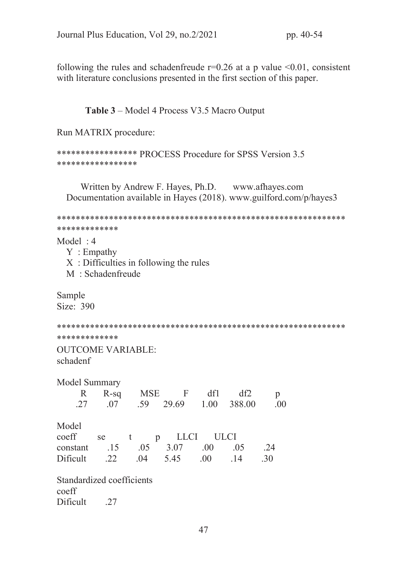following the rules and schadenfreude  $r=0.26$  at a p value <0.01, consistent with literature conclusions presented in the first section of this paper.

Table 3 – Model 4 Process V3.5 Macro Output

Run MATRIX procedure:

```
***************** PROCESS Procedure for SPSS Version 3.5
*****************
```
Written by Andrew F. Hayes, Ph.D. www.afhayes.com Documentation available in Hayes (2018). www.guilford.com/p/hayes3

```
*************
```
 $Model:4$ 

 $Y: Empathy$ X: Difficulties in following the rules M: Schadenfreude

Sample Size: 390

\*\*\*\*\*\*\*\*\*\*\*\*\*

**OUTCOME VARIABLE:** schadenf

| Model Summary                 |  | R R-sq MSE F df1<br>$.27 \qquad .07 \qquad .59 \qquad 29.69 \qquad 1.00 \qquad 388.00$ | df2 | p<br>.00 |
|-------------------------------|--|----------------------------------------------------------------------------------------|-----|----------|
| Model<br>coeff                |  | se t p LLCI ULCI                                                                       |     |          |
| constant .15 .05 3.07 .00     |  |                                                                                        | .05 | .24      |
| Dificult .22 .04 5.45 .00 .14 |  |                                                                                        |     | .30      |
|                               |  |                                                                                        |     |          |

Standardized coefficients coeff Dificult 27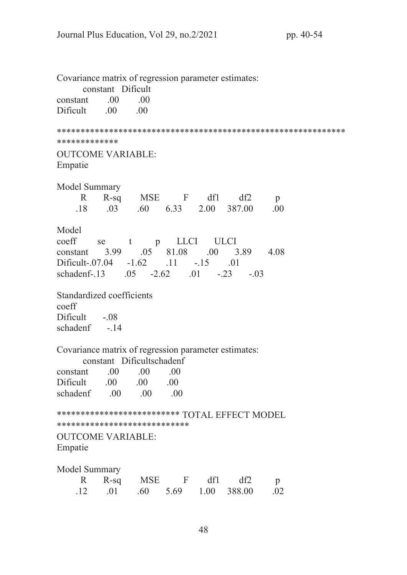Covariance matrix of regression parameter estimates: constant Dificult constant  $.00$  $.00$ Dificult  $.00$  $.00$ \*\*\*\*\*\*\*\*\*\*\*\*\* **OUTCOME VARIABLE:** Empatie Model Summary  $\mathbb{R}$  $R-sq$ MSE F  $df1$  $df2$  $\mathfrak{p}$ 18  $\Omega$  $.60$ 6.33 2.00 387.00  $.00.$ Model p LLCI coeff se t **ULCI** 3.99  $.05$ 81.08  $.00 \qquad 3.89$ 4.08 constant Dificult-.07.04  $-1.62$  $.11$  $-15$  $\overline{01}$ schadenf-.13  $.01 - .23 - .03$  $.05 -2.62$ Standardized coefficients  $\text{coeff}$ Dificult  $-.08$ schadenf  $-14$ Covariance matrix of regression parameter estimates: constant Dificultschadenf  $.00.$  $.00.$ constant  $.00$ Dificult  $.00\,$  $.00\,$  $.00.$  $.00$ schadenf  $.00$  $\sim 00$ \*\*\*\*\*\*\*\*\*\*\*\*\*\*\*\*\*\*\*\*\*\*\*\*\*\*\* TOTAL EFFECT MODEL \*\*\*\*\*\*\*\*\*\*\*\*\*\*\*\*\*\*\*\*\*\*\*\*\*\*\*\* **OUTCOME VARIABLE:** Empatie Model Summary  $\mathbb{R}$  $R-sq$ MSE F df1  $df2$  $\mathfrak{p}$  $12$  $\Omega$ 1  $.60 -$ 5.69 1.00 388.00  $.02$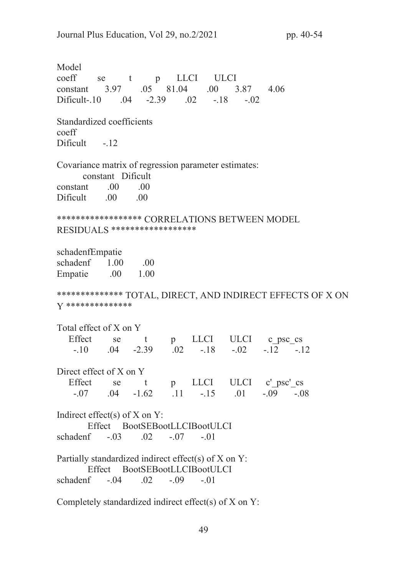Model p LLCI coeff **ULCI** se t 3.97 .05 81.04  $.00$ 3.87 4.06 constant  $-2.39$  .02  $Dificult-10$  $-18$  $-.02$  $.04$ Standardized coefficients  $\mathrm{coeff}$ Dificult -.12 Covariance matrix of regression parameter estimates: constant Dificult  $.00<sub>1</sub>$  $.00$ constant Dificult  $.00\,$ .00 \*\*\*\*\*\*\*\*\*\*\*\*\*\*\*\*\*\* CORRELATIONS BETWEEN MODEL RESIDUALS \*\*\*\*\*\*\*\*\*\*\*\*\*\*\*\*\*\*\*\* schadenfEmpatie schadenf  $1.00$  $.00$ Empatie  $.00$ 1.00 \*\*\*\*\*\*\*\*\*\*\*\*\*\* TOTAL, DIRECT, AND INDIRECT EFFECTS OF X ON V \*\*\*\*\*\*\*\*\*\*\*\*\*\*\* Total effect of X on Y p LLCI ULCI c psc\_cs Effect se  $t$  $-2.39$   $.02$   $-18$  $-.10$  $.04$  $-.02$  $-.12-.12$ Direct effect of X on Y Effect se t **LLCI** ULCI c' psc' cs  $p$  $-07$  $.04 - 1.62$  $.11 - .15$  $.01$  $-.09-.08$ Indirect effect(s) of  $X$  on  $Y$ : Effect BootSEBootLLCIBootULCI schadenf  $-.03$   $.02$   $-.07$   $-.01$ Partially standardized indirect effect(s) of X on Y: Effect BootSEBootLLCIBootULCI schadenf  $-.04$  $.02$  $-.09$  $-.01$ Completely standardized indirect effect(s) of X on Y:

49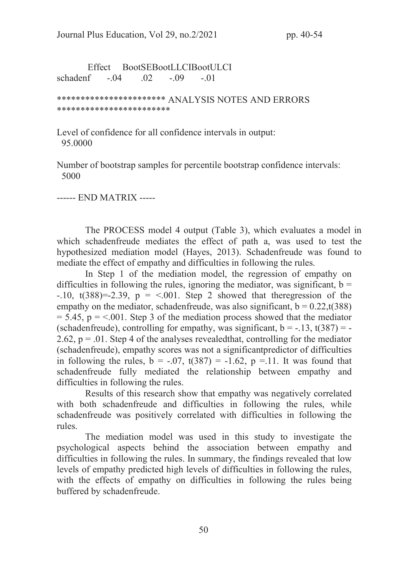Effect BootSEBootLLCIBootULCI schadenf -.04 .02 -.09 -.01

\*\*\*\*\*\*\*\*\*\*\*\*\*\*\*\*\*\*\*\*\*\*\* ANALYSIS NOTES AND ERRORS \*\*\*\*\*\*\*\*\*\*\*\*\*\*\*\*\*\*\*\*\*\*\*\*

Level of confidence for all confidence intervals in output: 95.0000

Number of bootstrap samples for percentile bootstrap confidence intervals: 5000

------ END MATRIX -----

The PROCESS model 4 output (Table 3), which evaluates a model in which schadenfreude mediates the effect of path a, was used to test the hypothesized mediation model (Hayes, 2013). Schadenfreude was found to mediate the effect of empathy and difficulties in following the rules.

In Step 1 of the mediation model, the regression of empathy on difficulties in following the rules, ignoring the mediator, was significant,  $b =$  $-10$ ,  $t(388)=-2.39$ ,  $p = <0.01$ . Step 2 showed that theregression of the empathy on the mediator, schadenfreude, was also significant,  $b = 0.22$ , t(388)  $= 5.45$ ,  $p = <.001$ . Step 3 of the mediation process showed that the mediator (schadenfreude), controlling for empathy, was significant,  $b = -.13$ ,  $t(387) = -$ 2.62,  $p = 0.01$ . Step 4 of the analyses revealed that, controlling for the mediator (schadenfreude), empathy scores was not a significantpredictor of difficulties in following the rules,  $b = -.07$ ,  $t(387) = -1.62$ ,  $p = .11$ . It was found that schadenfreude fully mediated the relationship between empathy and difficulties in following the rules.

Results of this research show that empathy was negatively correlated with both schadenfreude and difficulties in following the rules, while schadenfreude was positively correlated with difficulties in following the rules.

The mediation model was used in this study to investigate the psychological aspects behind the association between empathy and difficulties in following the rules. In summary, the findings revealed that low levels of empathy predicted high levels of difficulties in following the rules, with the effects of empathy on difficulties in following the rules being buffered by schadenfreude.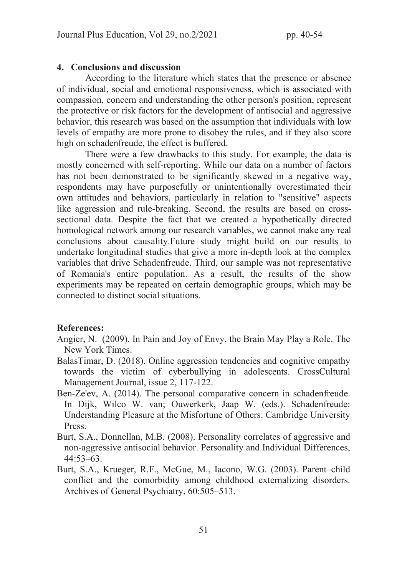## 4. Conclusions and discussion

According to the literature which states that the presence or absence of individual, social and emotional responsiveness, which is associated with compassion, concern and understanding the other person's position, represent the protective or risk factors for the development of antisocial and aggressive behavior, this research was based on the assumption that individuals with low levels of empathy are more prone to disobey the rules, and if they also score high on schadenfreude, the effect is buffered.

There were a few drawbacks to this study. For example, the data is mostly concerned with self-reporting. While our data on a number of factors has not been demonstrated to be significantly skewed in a negative way, respondents may have purposefully or unintentionally overestimated their own attitudes and behaviors, particularly in relation to "sensitive" aspects like aggression and rule-breaking. Second, the results are based on crosssectional data. Despite the fact that we created a hypothetically directed homological network among our research variables, we cannot make any real conclusions about causality.Future study might build on our results to undertake longitudinal studies that give a more in-depth look at the complex variables that drive Schadenfreude. Third, our sample was not representative of Romania's entire population. As a result, the results of the show experiments may be repeated on certain demographic groups, which may be connected to distinct social situations.

# References:

- Angier, N. (2009). In Pain and Joy of Envy, the Brain May Play a Role. The New York Times.
- BalasTimar, D. (2018). Online aggression tendencies and cognitive empathy towards the victim of cyberbullying in adolescents. CrossCultural Management Journal, issue 2, 117-122.
- Ben-Ze'ev, A. (2014). The personal comparative concern in schadenfreude. In Dijk, Wilco W. van; Ouwerkerk, Jaap W. (eds.). Schadenfreude: Understanding Pleasure at the Misfortune of Others. Cambridge University Press.
- Burt, S.A., Donnellan, M.B. (2008). Personality correlates of aggressive and non-aggressive antisocial behavior. Personality and Individual Differences, 44:53–63.
- Burt, S.A., Krueger, R.F., McGue, M., Iacono, W.G. (2003). Parent–child conflict and the comorbidity among childhood externalizing disorders. Archives of General Psychiatry, 60:505–513.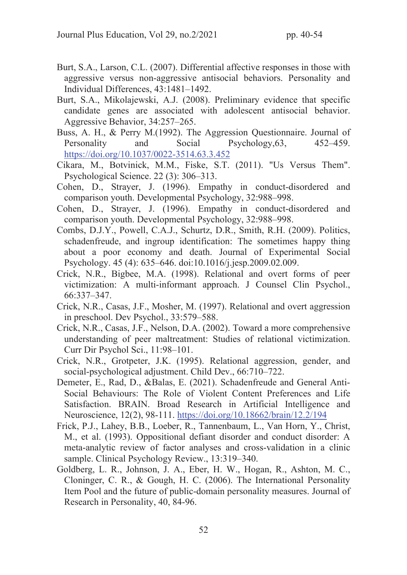- Burt, S.A., Larson, C.L. (2007). Differential affective responses in those with aggressive versus non-aggressive antisocial behaviors. Personality and Individual Differences, 43:1481–1492.
- Burt, S.A., Mikolajewski, A.J. (2008). Preliminary evidence that specific candidate genes are associated with adolescent antisocial behavior. Aggressive Behavior, 34:257–265.
- Buss, A. H., & Perry M.(1992). The Aggression Questionnaire. Journal of Personality and Social Psychology, 63, 452–459. https://doi.org/10.1037/0022-3514.63.3.452
- Cikara, M., Botvinick, M.M., Fiske, S.T. (2011). "Us Versus Them". Psychological Science. 22 (3): 306–313.
- Cohen, D., Strayer, J. (1996). Empathy in conduct-disordered and comparison youth. Developmental Psychology, 32:988–998.
- Cohen, D., Strayer, J. (1996). Empathy in conduct-disordered and comparison youth. Developmental Psychology, 32:988–998.
- Combs, D.J.Y., Powell, C.A.J., Schurtz, D.R., Smith, R.H. (2009). Politics, schadenfreude, and ingroup identification: The sometimes happy thing about a poor economy and death. Journal of Experimental Social Psychology. 45 (4): 635–646. doi:10.1016/j.jesp.2009.02.009.
- Crick, N.R., Bigbee, M.A. (1998). Relational and overt forms of peer victimization: A multi-informant approach. J Counsel Clin Psychol., 66:337–347.
- Crick, N.R., Casas, J.F., Mosher, M. (1997). Relational and overt aggression in preschool. Dev Psychol., 33:579–588.
- Crick, N.R., Casas, J.F., Nelson, D.A. (2002). Toward a more comprehensive understanding of peer maltreatment: Studies of relational victimization. Curr Dir Psychol Sci., 11:98–101.
- Crick, N.R., Grotpeter, J.K. (1995). Relational aggression, gender, and social-psychological adjustment. Child Dev., 66:710–722.
- Demeter, E., Rad, D., &Balas, E. (2021). Schadenfreude and General Anti-Social Behaviours: The Role of Violent Content Preferences and Life Satisfaction. BRAIN. Broad Research in Artificial Intelligence and Neuroscience, 12(2), 98-111. https://doi.org/10.18662/brain/12.2/194
- Frick, P.J., Lahey, B.B., Loeber, R., Tannenbaum, L., Van Horn, Y., Christ, M., et al. (1993). Oppositional defiant disorder and conduct disorder: A meta-analytic review of factor analyses and cross-validation in a clinic sample. Clinical Psychology Review., 13:319–340.
- Goldberg, L. R., Johnson, J. A., Eber, H. W., Hogan, R., Ashton, M. C., Cloninger, C. R., & Gough, H. C. (2006). The International Personality Item Pool and the future of public-domain personality measures. Journal of Research in Personality, 40, 84-96.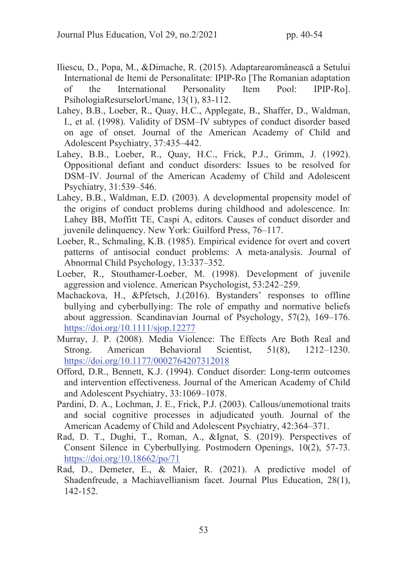- Iliescu, D., Popa, M., &Dimache, R. (2015). Adaptarearomânească a Setului International de Itemi de Personalitate: IPIP-Ro [The Romanian adaptation of the International Personality Item Pool: IPIP-Ro]. PsihologiaResurselorUmane, 13(1), 83-112.
- Lahey, B.B., Loeber, R., Quay, H.C., Applegate, B., Shaffer, D., Waldman, I., et al. (1998). Validity of DSM–IV subtypes of conduct disorder based on age of onset. Journal of the American Academy of Child and Adolescent Psychiatry, 37:435–442.
- Lahey, B.B., Loeber, R., Quay, H.C., Frick, P.J., Grimm, J. (1992). Oppositional defiant and conduct disorders: Issues to be resolved for DSM–IV. Journal of the American Academy of Child and Adolescent Psychiatry, 31:539–546.
- Lahey, B.B., Waldman, E.D. (2003). A developmental propensity model of the origins of conduct problems during childhood and adolescence. In: Lahey BB, Moffitt TE, Caspi A, editors. Causes of conduct disorder and juvenile delinquency. New York: Guilford Press, 76–117.
- Loeber, R., Schmaling, K.B. (1985). Empirical evidence for overt and covert patterns of antisocial conduct problems: A meta-analysis. Journal of Abnormal Child Psychology, 13:337–352.
- Loeber, R., Stouthamer-Loeber, M. (1998). Development of juvenile aggression and violence. American Psychologist, 53:242–259.
- Machackova, H., &Pfetsch, J.(2016). Bystanders' responses to offline bullying and cyberbullying: The role of empathy and normative beliefs about aggression. Scandinavian Journal of Psychology, 57(2), 169–176. https://doi.org/10.1111/sjop.12277
- Murray, J. P. (2008). Media Violence: The Effects Are Both Real and Strong. American Behavioral Scientist, 51(8), 1212–1230. https://doi.org/10.1177/0002764207312018
- Offord, D.R., Bennett, K.J. (1994). Conduct disorder: Long-term outcomes and intervention effectiveness. Journal of the American Academy of Child and Adolescent Psychiatry, 33:1069–1078.
- Pardini, D. A., Lochman, J. E., Frick, P.J. (2003). Callous/unemotional traits and social cognitive processes in adjudicated youth. Journal of the American Academy of Child and Adolescent Psychiatry, 42:364–371.
- Rad, D. T., Dughi, T., Roman, A., &Ignat, S. (2019). Perspectives of Consent Silence in Cyberbullying. Postmodern Openings, 10(2), 57-73. https://doi.org/10.18662/po/71
- Rad, D., Demeter, E., & Maier, R. (2021). A predictive model of Shadenfreude, a Machiavellianism facet. Journal Plus Education, 28(1), 142-152.